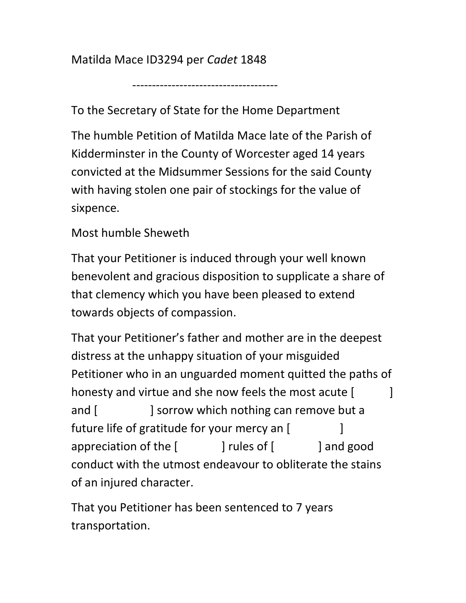Matilda Mace ID3294 per Cadet 1848

-------------------------------------

To the Secretary of State for the Home Department

The humble Petition of Matilda Mace late of the Parish of Kidderminster in the County of Worcester aged 14 years convicted at the Midsummer Sessions for the said County with having stolen one pair of stockings for the value of sixpence.

## Most humble Sheweth

That your Petitioner is induced through your well known benevolent and gracious disposition to supplicate a share of that clemency which you have been pleased to extend towards objects of compassion.

That your Petitioner's father and mother are in the deepest distress at the unhappy situation of your misguided Petitioner who in an unguarded moment quitted the paths of honesty and virtue and she now feels the most acute [  $\qquad$  ] and [ ] sorrow which nothing can remove but a future life of gratitude for your mercy an [ ] appreciation of the [ ] rules of [ ] and good conduct with the utmost endeavour to obliterate the stains of an injured character.

That you Petitioner has been sentenced to 7 years transportation.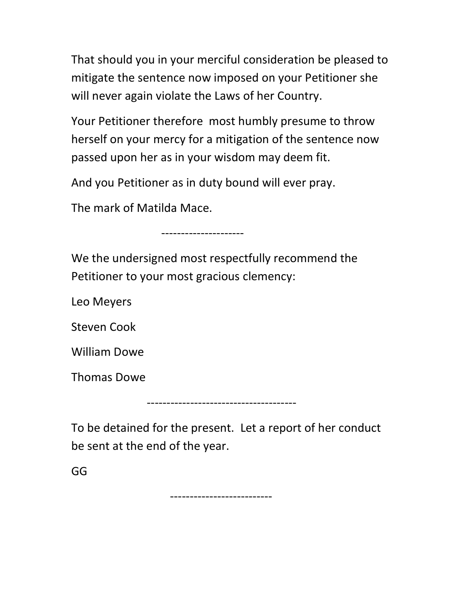That should you in your merciful consideration be pleased to mitigate the sentence now imposed on your Petitioner she will never again violate the Laws of her Country.

Your Petitioner therefore most humbly presume to throw herself on your mercy for a mitigation of the sentence now passed upon her as in your wisdom may deem fit.

And you Petitioner as in duty bound will ever pray.

The mark of Matilda Mace.

---------------------

We the undersigned most respectfully recommend the Petitioner to your most gracious clemency:

Leo Meyers

Steven Cook

William Dowe

Thomas Dowe

To be detained for the present. Let a report of her conduct be sent at the end of the year.

--------------------------------------

GG

--------------------------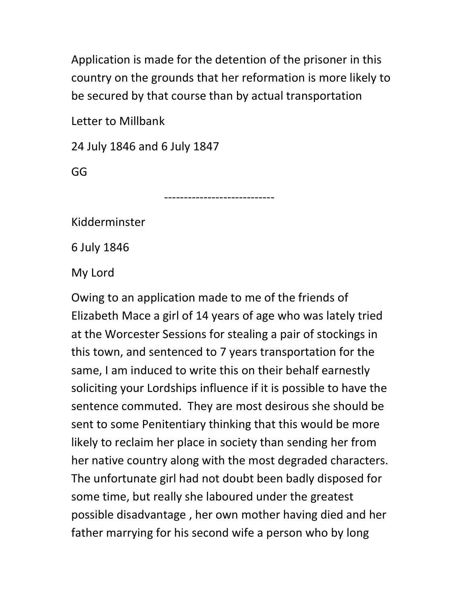Application is made for the detention of the prisoner in this country on the grounds that her reformation is more likely to be secured by that course than by actual transportation

Letter to Millbank

24 July 1846 and 6 July 1847

GG

----------------------------

Kidderminster

6 July 1846

My Lord

Owing to an application made to me of the friends of Elizabeth Mace a girl of 14 years of age who was lately tried at the Worcester Sessions for stealing a pair of stockings in this town, and sentenced to 7 years transportation for the same, I am induced to write this on their behalf earnestly soliciting your Lordships influence if it is possible to have the sentence commuted. They are most desirous she should be sent to some Penitentiary thinking that this would be more likely to reclaim her place in society than sending her from her native country along with the most degraded characters. The unfortunate girl had not doubt been badly disposed for some time, but really she laboured under the greatest possible disadvantage , her own mother having died and her father marrying for his second wife a person who by long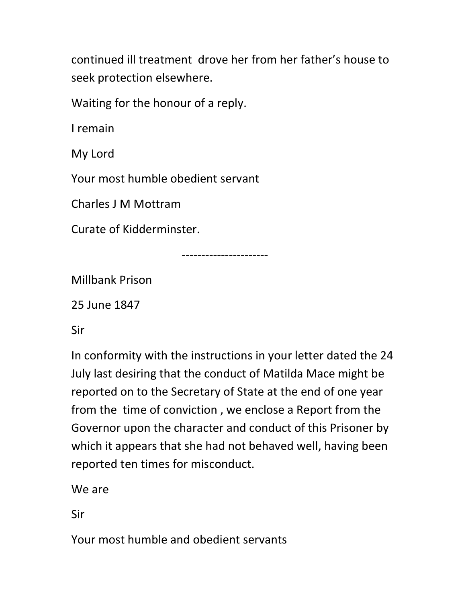continued ill treatment drove her from her father's house to seek protection elsewhere.

Waiting for the honour of a reply.

I remain

My Lord

Your most humble obedient servant

Charles J M Mottram

Curate of Kidderminster.

----------------------

Millbank Prison

25 June 1847

Sir

In conformity with the instructions in your letter dated the 24 July last desiring that the conduct of Matilda Mace might be reported on to the Secretary of State at the end of one year from the time of conviction , we enclose a Report from the Governor upon the character and conduct of this Prisoner by which it appears that she had not behaved well, having been reported ten times for misconduct.

We are

Sir

Your most humble and obedient servants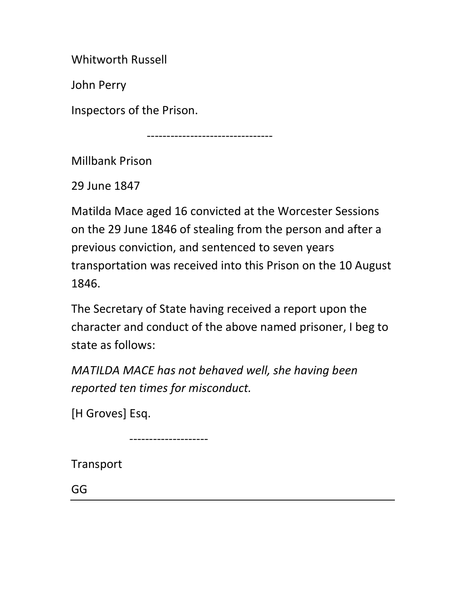Whitworth Russell

John Perry

Inspectors of the Prison.

--------------------------------

Millbank Prison

29 June 1847

Matilda Mace aged 16 convicted at the Worcester Sessions on the 29 June 1846 of stealing from the person and after a previous conviction, and sentenced to seven years transportation was received into this Prison on the 10 August 1846.

The Secretary of State having received a report upon the character and conduct of the above named prisoner, I beg to state as follows:

MATILDA MACE has not behaved well, she having been reported ten times for misconduct.

[H Groves] Esq.

--------------------

Transport

GG